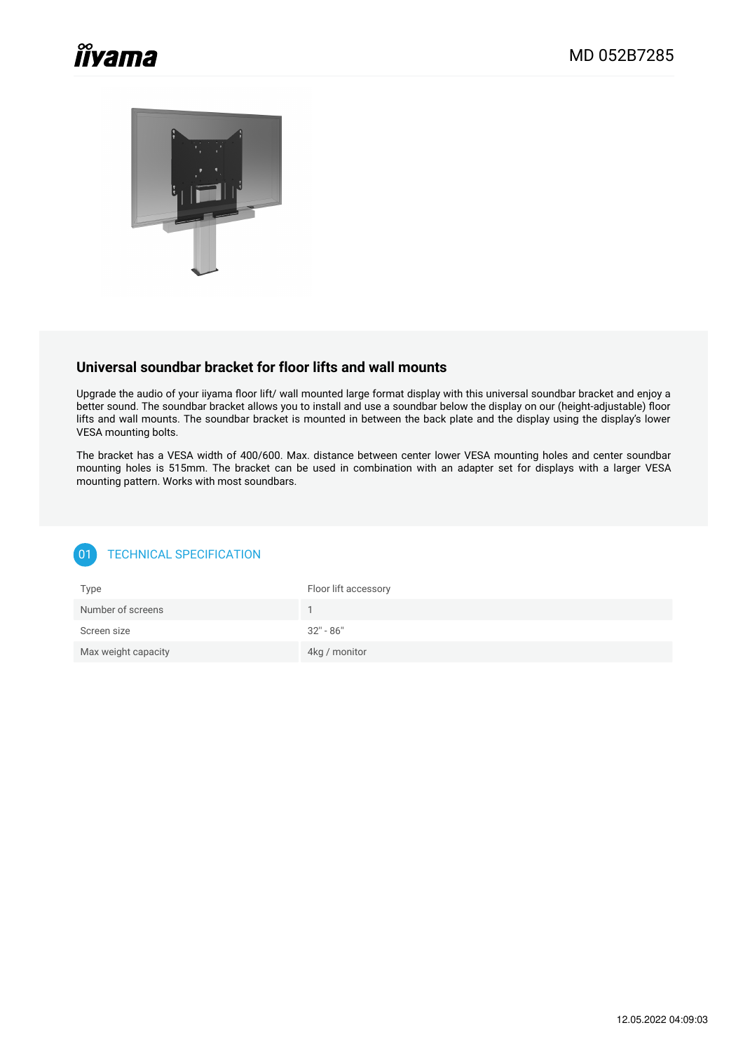



## **Universal soundbar bracket for floor lifts and wall mounts**

Upgrade the audio of your iiyama floor lift/ wall mounted large format display with this universal soundbar bracket and enjoy a better sound. The soundbar bracket allows you to install and use a soundbar below the display on our (height-adjustable) floor lifts and wall mounts. The soundbar bracket is mounted in between the back plate and the display using the display's lower VESA mounting bolts.

The bracket has a VESA width of 400/600. Max. distance between center lower VESA mounting holes and center soundbar mounting holes is 515mm. The bracket can be used in combination with an adapter set for displays with a larger VESA mounting pattern. Works with most soundbars.

## 01 **TECHNICAL SPECIFICATION**

| Type                | Floor lift accessory |
|---------------------|----------------------|
| Number of screens   |                      |
| Screen size         | $32" - 86"$          |
| Max weight capacity | 4kg / monitor        |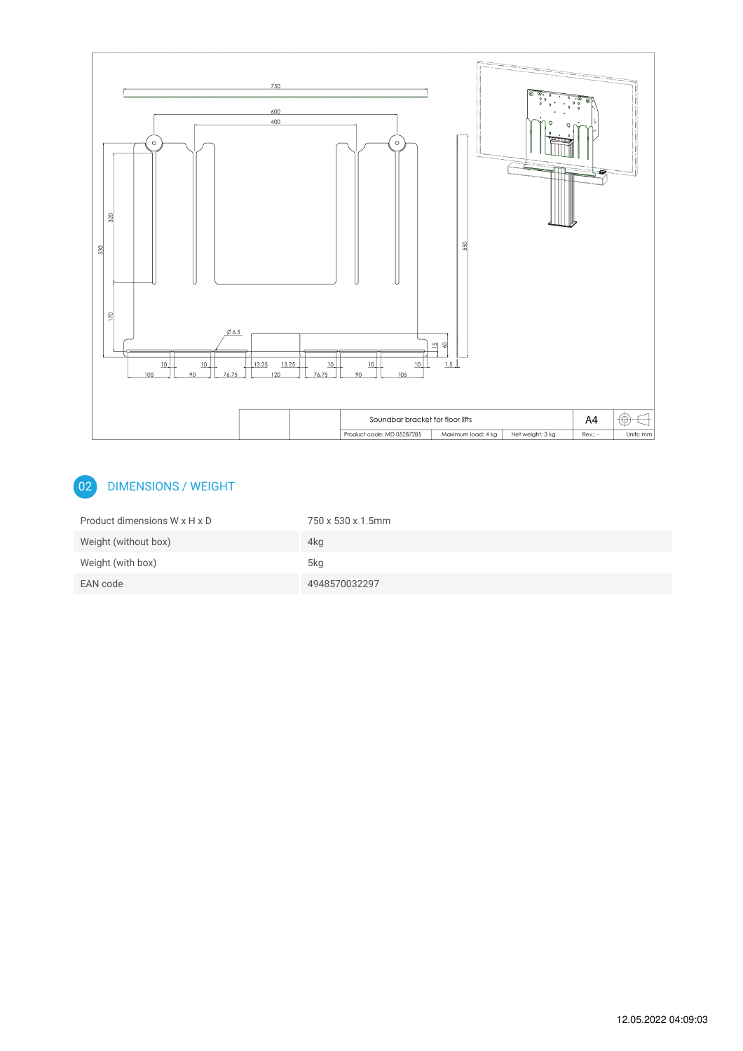

## 02 DIMENSIONS / WEIGHT

| Product dimensions W x H x D | 750 x 530 x 1.5mm |
|------------------------------|-------------------|
| Weight (without box)         | 4kg               |
| Weight (with box)            | 5kg               |
| EAN code                     | 4948570032297     |